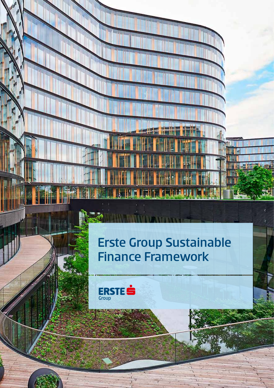## Erste Group Sustainable Finance Framework

r



 $\mathbf{z}$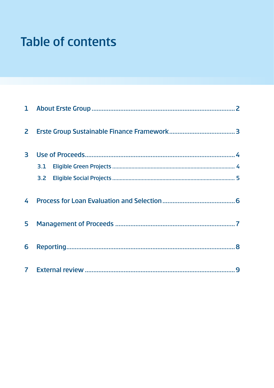# **Table of contents**

| 3 |  |  |  |  |  |
|---|--|--|--|--|--|
|   |  |  |  |  |  |
|   |  |  |  |  |  |
| 4 |  |  |  |  |  |
| 5 |  |  |  |  |  |
| 6 |  |  |  |  |  |
|   |  |  |  |  |  |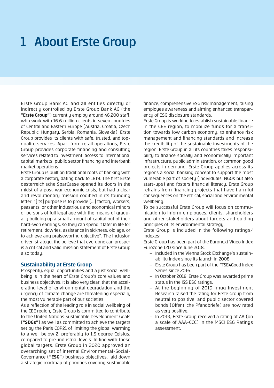# 1 About Erste Group

Erste Group Bank AG and all entities directly or indirectly controlled by Erste Group Bank AG (the **"Erste Group"**) currently employ around 46,200 staff, who work with 16.6 million clients in seven countries of Central and Eastern Europe (Austria, Croatia, Czech Republic, Hungary, Serbia, Romania, Slovakia). Erste Group provides its clients with safe, trusted, and topquality services. Apart from retail operations, Erste Group provides corporate financing and consulting services related to investment, access to international capital markets, public sector financing and interbank market operations.

Erste Group is built on traditional roots of banking with a corporate history dating back to 1819. The first Erste oesterreichische SparCasse opened its doors in the midst of a post-war economic crisis, but had a clear and revolutionary mission codified in its founding letter: "[Its] purpose is to provide [...] factory workers, peasants, or other industrious and economical minors or persons of full legal age with the means of gradually building up a small amount of capital out of their hard-won earnings, so they can spend it later in life for retirement, dowries, assistance in sickness, old age, or to achieve any praiseworthy objective". The inclusion driven strategy, the believe that everyone can prosper is a critical and valid mission statement of Erste Group also today.

### **Sustainability at Erste Group**

Prosperity, equal opportunities and a just social wellbeing is in the heart of Erste Group's core values and business objectives. It is also very clear, that the accelerating level of environmental degradation and the urgency of climate change are threatening especially the most vulnerable part of our societies.

As a reflection of the leading role in social wellbeing of the CEE region, Erste Group is committed to contribute to the United Nations Sustainable Development Goals (**"SDGs"**) as well as committed to achieve the targets set by the Paris COP21 of limiting the global warming to a well below 2, preferably to 1.5 degree Celsius, compared to pre-industrial levels. In line with these global targets, Erste Group in 2020 approved an overarching set of internal Environmental-Social-Governance (**"ESG"**) business objectives, laid down a strategic roadmap of priorities covering sustainable finance, comprehensive ESG risk management, raising employee awareness and aiming enhanced transparency of ESG disclosure standards.

Erste Group is working to establish sustainable finance in the CEE region, to mobilize funds for a transition towards low carbon economy, to enhance risk management and financing standards and increase the credibility of the sustainable investments of the region. Erste Group in all its countries takes responsibility to finance socially and economically important infrastructure, public administration, or common good projects in demand. Erste Group applies across its regions a social banking concept to support the most vulnerable part of society (individuals, NGOs but also start-ups) and fosters financial literacy. Erste Group refrains from financing projects that have harmful consequences on the ethical, social and environmental wellbeing.

To be successful Erste Group will focus on communication to inform employees, clients, shareholders and other stakeholders about targets and guiding principles of its environmental strategy.

Erste Group is included in the following ratings/ indexes:

Erste Group has been part of the Euronext Vigeo Index Eurozone 120 since June 2018.

- ‒ Included in the Vienna Stock Exchange's sustainability index since its launch in 2008.
- ‒ Erste Group has been part of the FTSE4Good Index Series since 2016.
- ‒ In October 2018, Erste Group was awarded prime status in the ISS ESG ratings.
- ‒ At the beginning of 2019 imug Investment Research raised the rating for Erste Group from neutral to positive, and public sector covered bonds (Öffentliche Pfandbriefe) are now rated as very positive.
- ‒ In 2019, Erste Group received a rating of AA (on a scale of AAA-CCC) in the MSCI ESG Ratings assessment.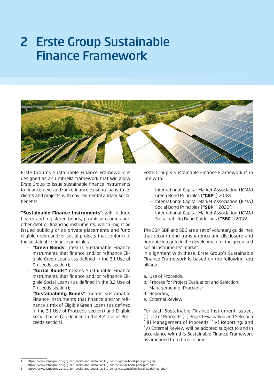### 2 Erste Group Sustainable Finance Framework



Erste Group's Sustainable Finance Framework is designed as an umbrella framework that will allow Erste Group to issue sustainable finance instruments to finance new and/or refinance existing loans to its clients and projects with environmental and/or social benefits.

**"Sustainable Finance Instruments"** will include bearer and registered bonds, promissory notes and other debt or financing instruments, which might be issued publicly or as private placements and fund eligible green and/or social projects that conform to the sustainable finance principles.

- ‒ **"Green Bonds"** means Sustainable Finance Instruments that finance and/or refinance Eligible Green Loans (as defined in the 3.1 Use of Proceeds section);
- ‒ **"Social Bonds"** means Sustainable Finance Instruments that finance and/or refinance Eligible Social Loans (as defined in the 3.2 Use of Proceeds section);
- ‒ **"Sustainability Bonds"** means Sustainable Finance Instruments that finance and/or refinance a mix of Eligible Green Loans (as defined in the 3.1 Use of Proceeds section) and Eligible Social Loans (as defined in the 3.2 Use of Proceeds section).

Erste Group's Sustainable Finance Framework is in line with:

- ‒ International Capital Market Association (ICMA) Green Bond Principles (**"GBP"**) 20181 ;
- ‒ International Capital Market Association (ICMA) Social Bond Principles ("SBP") 2020<sup>2</sup>;
- ‒ International Capital Market Association (ICMA) Sustainability Bond Guidelines (**"SBG"**) 20183 .

The GBP, SBP and SBG are a set of voluntary guidelines that recommend transparency and disclosure and promote integrity in the development of the green and social instruments' market.

In alignment with these, Erste Group's Sustainable Finance Framework is based on the following key pillars:

- a. Use of Proceeds;
- b. Process for Project Evaluation and Selection;
- c. Management of Proceeds;
- d. Reporting;
- e. External Review.

For each Sustainable Finance Instrument issued, (i) Use of Proceeds (ii) Project Evaluation and Selection (iii) Management of Proceeds, (iv) Reporting, and (v) External Review will be adopted subject to and in accordance with this Sustainable Finance Framework as amended from time to time.

<sup>1</sup> https://www.icmagroup.org/green-social-and-sustainability-bonds/green-bond-principles-gbp/

<sup>2</sup> https://www.icmagroup.org/green-social-and-sustainability-bonds/social-bond-principles-sbp/

<sup>3</sup> https://www.icmagroup.org/green-social-and-sustainability-bonds/sustainability-bond-guidelines-sbg/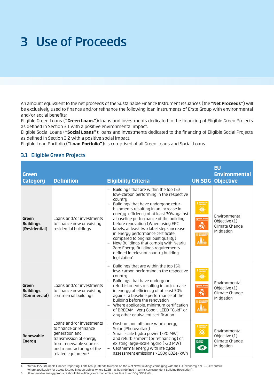# 3 Use of Proceeds

An amount equivalent to the net proceeds of the Sustainable Finance Instrument issuances (the **"Net Proceeds"**) will be exclusively used to finance and/or refinance the following loan instruments of Erste Group with environmental and/or social benefits:

Eligible Green Loans (**"Green Loans"**): loans and investments dedicated to the financing of Eligible Green Projects as defined in Section 3.1 with a positive environmental impact.

Eligible Social Loans (**"Social Loans"**): loans and investments dedicated to the financing of Eligible Social Projects as defined in Section 3.2 with a positive social impact.

Eligible Loan Portfolio (**"Loan Portfolio"**): is comprised of all Green Loans and Social Loans.

### 3.1 Eligible Green Projects

| Green<br><b>Category</b>                   | <b>Definition</b>                                                                                                                                                                       | <b>Eligibility Criteria</b>                                                                                                                                                                                                                                                                                                                                                                                                                                                                                                                                                          |                                          | <b>EU</b><br><b>Environmental</b><br><b>UN SDG Objective</b>    |
|--------------------------------------------|-----------------------------------------------------------------------------------------------------------------------------------------------------------------------------------------|--------------------------------------------------------------------------------------------------------------------------------------------------------------------------------------------------------------------------------------------------------------------------------------------------------------------------------------------------------------------------------------------------------------------------------------------------------------------------------------------------------------------------------------------------------------------------------------|------------------------------------------|-----------------------------------------------------------------|
| Green<br><b>Buildings</b><br>(Residential) | Loans and/or investments<br>to finance new or existing<br>residential buildings                                                                                                         | Buildings that are within the top 15%<br>low-carbon performing in the respective<br>countru<br>Buildings that have undergone refur-<br>bishments resulting in an increase in<br>energy efficiency of at least 30% against<br>a baseline performance of the building<br>before renovation (When using EPC<br>labels, at least two label steps increase<br>in energy performance certificate<br>compared to original built quality)<br>New Buildings that comply with Nearly<br>Zero Energy Buildings requirements<br>defined in relevant country building<br>legislation <sup>4</sup> | ♣                                        | Environmental<br>Objective (1):<br>Climate Change<br>Mitigation |
| Green<br><b>Buildings</b><br>(Commercial)  | Loans and/or investments<br>to finance new or existing<br>commercial buildings                                                                                                          | Buildings that are within the top 15%<br>low-carbon performing in the respective<br>country<br>Buildings that have undergone<br>refurbishments resulting in an increase<br>in energy of efficiency of at least 30%<br>against a baseline performance of the<br>building before the renovation<br>Where applicable, minimum certification<br>of BREEAM "Very Good", LEED "Gold" or<br>any other equivalent certification                                                                                                                                                              | 9 MAISTRY, POOL<br>♣<br>1 SUSTAINABLE CE | Environmental<br>Objective (1):<br>Climate Change<br>Mitigation |
| Renewable<br><b>Energy</b>                 | Loans and/or investments<br>to finance or refinance<br>generation and<br>transmission of energy<br>from renewable sources<br>and manufacturing of the<br>related equipment <sup>5</sup> | Onshore and offshore wind energy<br>$\overline{\phantom{0}}$<br>Solar (Photovoltaic)<br>- Small scale hydro power (<20 MW)<br>and refurbishment (or refinancing) of<br>existing large-scale hydro (>20 MW)<br>Geothermal energy with life cycle<br>$-$<br>assessment emissions < 100g C02e/kWh                                                                                                                                                                                                                                                                                       | 13 GENATE                                | Environmental<br>Objective (1):<br>Climate Change<br>Mitigation |

4 Within its Sustainable Finance Reporting, Erste Group intends to report on the % of New Buildings complying with the EU Taxonomy NZEB – 20% criteria, where applicable (for assets located in geographies where NZEB has been defined in terms correspondent Building Regulation).

5 All renewable energy products should have lifecycle carbon emissions less than 100g CO2/kWh.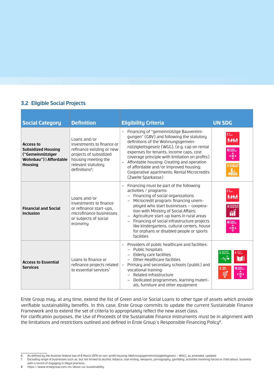### 3.2 Eligible Social Projects

| <b>Social Category</b>                                                                                        | <b>Definition</b>                                                                                                                                                           | <b>Eligibility Criteria</b>                                                                                                                                                                                                                                                                                                                                                                                                                                                                        | <b>UN SDG</b>                                                                   |
|---------------------------------------------------------------------------------------------------------------|-----------------------------------------------------------------------------------------------------------------------------------------------------------------------------|----------------------------------------------------------------------------------------------------------------------------------------------------------------------------------------------------------------------------------------------------------------------------------------------------------------------------------------------------------------------------------------------------------------------------------------------------------------------------------------------------|---------------------------------------------------------------------------------|
| <b>Access to</b><br><b>Subsidized Housing</b><br>("Gemeinnütziger<br>Wohnbau")   Affordable<br><b>Housing</b> | Loans and/or<br>investments to finance or<br>refinance existing or new<br>projects of subsidized<br>housing meeting the<br>relevant statutory<br>definitions <sup>6</sup> ; | - Financing of "gemeinnützige Bauvereini-<br>gungen" (GBV) and following the statutory<br>definitions of the Wohnungsgemein-<br>nützigkeitsgesetz (WGG), (e.g. cap on rental<br>expenses for tenants, income caps, cost<br>coverage principle with limitation on profits)<br>Affordable housing: Creating and operation<br>$\qquad \qquad -$<br>of affordable and/or improved housing;<br>Cooperative apartments; Rental Microcredits<br>(Zweite Sparkasse)                                        | $110$ rowery<br><b>İvêrat</b><br><b>10 REDUCED</b><br>$\left( \equiv \right)$   |
| <b>Financial and Social</b><br><b>Inclusion</b>                                                               | Loans and/or<br>investments to finance<br>or refinance start-ups,<br>microfinance businesses<br>or subjects of social<br>economy                                            | Financing must be part of the following<br>$\overline{\phantom{m}}$<br>activities / programs:<br>- Financing of social organizations<br>Microcredit program: financing unem-<br>$\overline{\phantom{0}}$<br>ployed who start businesses - coopera-<br>tion with Ministry of Social Affairs;<br>Agriculture start-up loans in rural areas<br>- Financing of social infrastructure projects<br>like kindergartens, cultural centers, house<br>for orphans or disabled people or sports<br>facilities | <b>A.A.</b><br><b>8</b> DECENT WORK AN<br>10 REDUCED<br>$\left( \equiv \right)$ |
| <b>Access to Essential</b><br><b>Services</b>                                                                 | Loans to finance or<br>refinance projects related<br>to essential services <sup>7</sup>                                                                                     | Providers of public healthcare and facilities:<br>- Public hospitals<br>- Elderly care facilities<br>Other Healthcare facilities<br>- Primary and secondary schools (public) and<br>vocational training:<br>- Related infrastructure<br>Dedicated programmes, learning materi-<br>als, furniture and other equipment                                                                                                                                                                               | 3 GOOD HEALTH<br><b>1</b> QUALITY<br>WĠ<br>5 EDIDER<br>⊜                        |

Erste Group may, at any time, extend the list of Green and/or Social Loans to other type of assets which provide verifiable sustainability benefits. In this case, Erste Group commits to update the current Sustainable Finance Framework and to extend the set of criteria to appropriately reflect the new asset class.

For clarification purposes, the Use of Proceeds of the Sustainable Finance Instruments must be in alignment with the limitations and restrictions outlined and defined in Erste Group's Responsible Financing Policy<sup>8</sup>.

8 https://www.erstegroup.com/en/about-us/sustainability

<sup>6</sup> As defined by the Austrian federal law of 8 March 1979 on non-profit housing (Wohnungsgemeinnützigkeitsgesetz – WGG), as amended, updated.

Excluding range of businesses such as, but not limited to alcohol, tobacco, coal mining, weapons, pornography, gambling, activities involving forced or child labour, business with a record of engaging in illegal practices.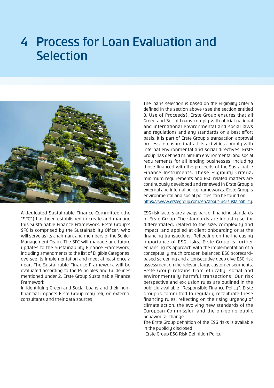### 4 Process for Loan Evaluation and **Selection**



A dedicated Sustainable Finance Committee (the "SFC") has been established to create and manage this Sustainable Finance Framework. Erste Group's SFC is comprised bu the Sustainability Officer, who will serve as its chairman, and members of the Senior Management Team. The SFC will manage any future updates to the Sustainability Finance Framework, including amendments to the list of Eligible Categories, oversee its implementation and meet at least once a year. The Sustainable Finance Framework will be evaluated according to the Principles and Guidelines mentioned under 2. Erste Group Sustainable Finance Framework.

In identifying Green and Social Loans and their nonfinancial impacts Erste Group may rely on external consultants and their data sources.

The loans selection is based on the Eligibility Criteria defined in the section above (see the section entitled 3. Use of Proceeds). Erste Group ensures that all Green and Social Loans comply with official national and international environmental and social laws and regulations and any standards on a best effort basis. It is part of Erste Group's transaction approval process to ensure that all its activities comply with internal environmental and social directives. Erste Group has defined minimum environmental and social requirements for all lending businesses, including those financed with the proceeds of the Sustainable Finance Instruments. These Eligibility Criteria, minimum requirements and ESG related matters are continuously developed and renewed in Erste Group's external and internal policy frameworks. Erste Group's environmental and social policies can be found on:

[https://www.erstegroup.com/en/about-us/sustainability.](https://www.erstegroup.com/en/about-us/sustainability)

ESG risk factors are always part of financing standards of Erste Group. The standards are industry sector differentiated, related to the size, complexity and impact, and applied at client onboarding or at the financing transactions. Reflecting on the increasing importance of ESG risks, Erste Group is further enhancing its approach with the implementation of a conceptually much broader, balanced ESG scorecardbased screening and a consecutive deep dive ESG risk assessment on the relevant large customer segments. Erste Group refrains from ethically, social and environmentally harmful transactions. Our risk perspective and exclusion rules are outlined in the publicly available "Responsible Finance Policy". Erste Group is committed to regularly recalibrate these financing rules, reflecting on the rising urgency of climate action, the evolving new standards of the European Commission and the on-going public behavioural change.

The Erste Group definition of the ESG risks is available in the publicly disclosed

"Erste Group ESG Risk Definition Policy"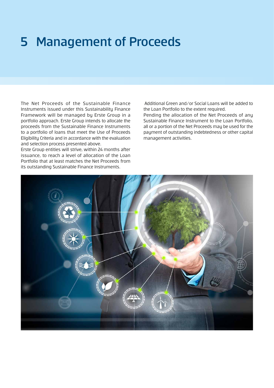### 5 Management of Proceeds

The Net Proceeds of the Sustainable Finance Instruments issued under this Sustainability Finance Framework will be managed by Erste Group in a portfolio approach. Erste Group intends to allocate the proceeds from the Sustainable Finance Instruments to a portfolio of loans that meet the Use of Proceeds Eligibility Criteria and in accordance with the evaluation and selection process presented above.

Erste Group entities will strive, within 24 months after issuance, to reach a level of allocation of the Loan Portfolio that at least matches the Net Proceeds from its outstanding Sustainable Finance Instruments.

 Additional Green and/or Social Loans will be added to the Loan Portfolio to the extent required.

Pending the allocation of the Net Proceeds of any Sustainable Finance Instrument to the Loan Portfolio, all or a portion of the Net Proceeds may be used for the payment of outstanding indebtedness or other capital management activities.

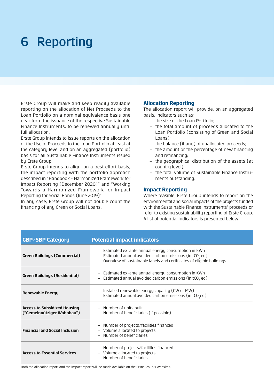### 6 Reporting

Erste Group will make and keep readily available reporting on the allocation of Net Proceeds to the Loan Portfolio on a nominal equivalence basis one year from the issuance of the respective Sustainable Finance Instruments, to be renewed annually until full allocation.

Erste Group intends to issue reports on the allocation of the Use of Proceeds to the Loan Portfolio at least at the category level and on an aggregated (portfolio) basis for all Sustainable Finance Instruments issued by Erste Group.

Erste Group intends to align, on a best effort basis, the impact reporting with the portfolio approach described in "Handbook - Harmonized Framework for Impact Reporting (December 2020)" and "Working Towards a Harmonized Framework for Impact Reporting for Social Bonds (June 2019)"

In any case, Erste Group will not double count the financing of any Green or Social Loans.

#### **Allocation Reporting**

The allocation report will provide, on an aggregated basis, indicators such as:

- ‒ the size of the Loan Portfolio;
- ‒ the total amount of proceeds allocated to the Loan Portfolio (consisting of Green and Social Loans);
- ‒ the balance (if any) of unallocated proceeds;
- the amount or the percentage of new financing and refinancing;
- ‒ the geographical distribution of the assets (at country level);
- ‒ the total volume of Sustainable Finance Instruments outstanding.

#### **Impact Reporting**

Where feasible, Erste Group intends to report on the environmental and social impacts of the projects funded with the Sustainable Finance Instruments' proceeds or refer to existing sustainability reporting of Erste Group. A list of potential indicators is presented below.

| <b>GBP/SBP Category</b>                                           | <b>Potential impact indicators</b>                                                                                                                                                                      |
|-------------------------------------------------------------------|---------------------------------------------------------------------------------------------------------------------------------------------------------------------------------------------------------|
| <b>Green Buildings (Commercial)</b>                               | - Estimated ex-ante annual energy consumption in KWh<br>- Estimated annual avoided carbon emissions (in tCO <sub>2</sub> eq)<br>- Overview of sustainable labels and certificates of eligible buildings |
| <b>Green Buildings (Residential)</b>                              | - Estimated ex-ante annual energy consumption in KWh<br>- Estimated annual avoided carbon emissions (in tCO <sub>2</sub> eq)                                                                            |
| <b>Renewable Energy</b>                                           | - Installed renewable energy capacity (GW or MW)<br>- Estimated annual avoided carbon emissions (in tCO <sub>2</sub> eq)                                                                                |
| <b>Access to Subsidized Housing</b><br>("Gemeinnütziger Wohnbau") | - Number of units built<br>- Number of beneficiaries (if possible)                                                                                                                                      |
| <b>Financial and Social Inclusion</b>                             | - Number of projects/facilities financed<br>- Volume allocated to projects<br>- Number of beneficiaries                                                                                                 |
| <b>Access to Essential Services</b>                               | - Number of projects/facilities financed<br>- Volume allocated to projects<br>- Number of beneficiaries                                                                                                 |

Both the allocation report and the impact report will be made available on the Erste Group's websites.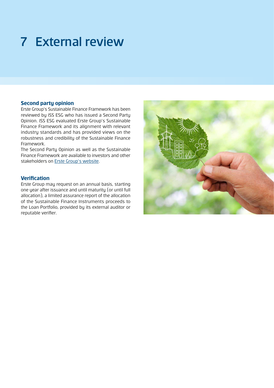# 7 External review

### **Second party opinion**

Erste Group's Sustainable Finance Framework has been reviewed by ISS ESG who has issued a Second Party Opinion. ISS ESG evaluated Erste Group's Sustainable Finance Framework and its alignment with relevant industry standards and has provided views on the robustness and credibility of the Sustainable Finance Framework.

The Second Party Opinion as well as the Sustainable Finance Framework are available to investors and other stakeholders on [Erste Group's website.](https://www.erstegroup.com/en/investors/debt)

### **Verification**

Erste Group may request on an annual basis, starting one year after issuance and until maturity (or until full allocation), a limited assurance report of the allocation of the Sustainable Finance Instruments proceeds to the Loan Portfolio, provided by its external auditor or reputable verifier.

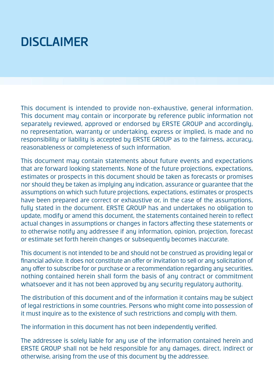# DISCLAIMER

This document is intended to provide non-exhaustive, general information. This document may contain or incorporate by reference public information not separately reviewed, approved or endorsed by ERSTE GROUP and accordingly, no representation, warranty or undertaking, express or implied, is made and no responsibility or liability is accepted by ERSTE GROUP as to the fairness, accuracy, reasonableness or completeness of such information.

This document may contain statements about future events and expectations that are forward looking statements. None of the future projections, expectations, estimates or prospects in this document should be taken as forecasts or promises nor should they be taken as implying any indication, assurance or guarantee that the assumptions on which such future projections, expectations, estimates or prospects have been prepared are correct or exhaustive or, in the case of the assumptions, fully stated in the document. ERSTE GROUP has and undertakes no obligation to update, modify or amend this document, the statements contained herein to reflect actual changes in assumptions or changes in factors affecting these statements or to otherwise notify any addressee if any information, opinion, projection, forecast or estimate set forth herein changes or subsequently becomes inaccurate.

This document is not intended to be and should not be construed as providing legal or financial advice. It does not constitute an offer or invitation to sell or any solicitation of any offer to subscribe for or purchase or a recommendation regarding any securities, nothing contained herein shall form the basis of any contract or commitment whatsoever and it has not been approved by any security regulatory authority.

The distribution of this document and of the information it contains may be subject of legal restrictions in some countries. Persons who might come into possession of it must inquire as to the existence of such restrictions and comply with them.

The information in this document has not been independently verified.

The addressee is solely liable for any use of the information contained herein and ERSTE GROUP shall not be held responsible for any damages, direct, indirect or otherwise, arising from the use of this document by the addressee.